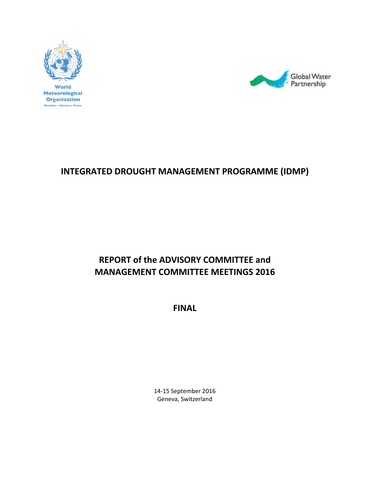



# **INTEGRATED DROUGHT MANAGEMENT PROGRAMME (IDMP)**

# **REPORT of the ADVISORY COMMITTEE and MANAGEMENT COMMITTEE MEETINGS 2016**

**FINAL**

14‐15 September 2016 Geneva, Switzerland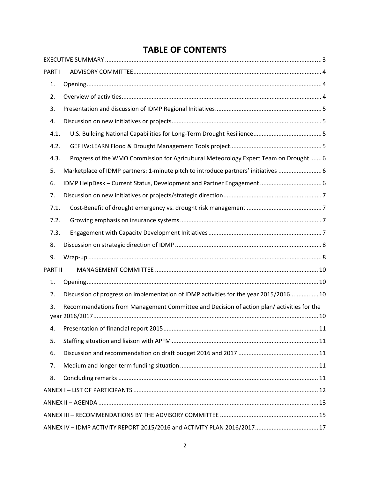## **TABLE OF CONTENTS**

| PART I         |                                                                                          |  |
|----------------|------------------------------------------------------------------------------------------|--|
| 1.             |                                                                                          |  |
| 2.             |                                                                                          |  |
| 3.             |                                                                                          |  |
| 4.             |                                                                                          |  |
| 4.1.           |                                                                                          |  |
| 4.2.           |                                                                                          |  |
| 4.3.           | Progress of the WMO Commission for Agricultural Meteorology Expert Team on Drought 6     |  |
| 5.             | Marketplace of IDMP partners: 1-minute pitch to introduce partners' initiatives  6       |  |
| 6.             |                                                                                          |  |
| 7.             |                                                                                          |  |
| 7.1.           |                                                                                          |  |
| 7.2.           |                                                                                          |  |
| 7.3.           |                                                                                          |  |
| 8.             |                                                                                          |  |
| 9.             |                                                                                          |  |
| <b>PART II</b> |                                                                                          |  |
| 1.             |                                                                                          |  |
| 2.             | Discussion of progress on implementation of IDMP activities for the year 2015/2016 10    |  |
| 3.             | Recommendations from Management Committee and Decision of action plan/activities for the |  |
|                |                                                                                          |  |
| 5.             |                                                                                          |  |
| 6.             |                                                                                          |  |
| 7.             |                                                                                          |  |
| 8.             |                                                                                          |  |
|                |                                                                                          |  |
|                |                                                                                          |  |
|                |                                                                                          |  |
|                | ANNEX IV - IDMP ACTIVITY REPORT 2015/2016 and ACTIVITY PLAN 2016/2017 17                 |  |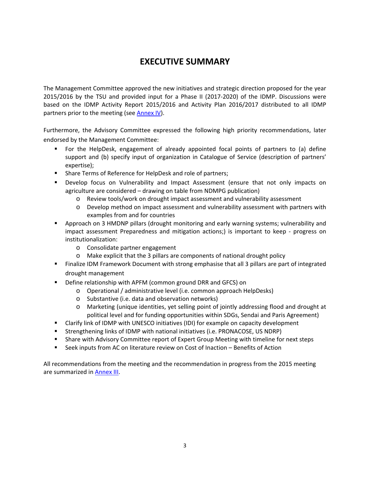## **EXECUTIVE SUMMARY**

The Management Committee approved the new initiatives and strategic direction proposed for the year 2015/2016 by the TSU and provided input for a Phase II (2017‐2020) of the IDMP. Discussions were based on the IDMP Activity Report 2015/2016 and Activity Plan 2016/2017 distributed to all IDMP partners prior to the meeting (see Annex IV).

Furthermore, the Advisory Committee expressed the following high priority recommendations, later endorsed by the Management Committee:

- For the HelpDesk, engagement of already appointed focal points of partners to (a) define support and (b) specify input of organization in Catalogue of Service (description of partners' expertise);
- **Share Terms of Reference for HelpDesk and role of partners;**
- **Develop focus on Vulnerability and Impact Assessment (ensure that not only impacts on** agriculture are considered – drawing on table from NDMPG publication)
	- o Review tools/work on drought impact assessment and vulnerability assessment
	- o Develop method on impact assessment and vulnerability assessment with partners with examples from and for countries
- Approach on 3 HMDNP pillars (drought monitoring and early warning systems; vulnerability and impact assessment Preparedness and mitigation actions;) is important to keep - progress on institutionalization:
	- o Consolidate partner engagement
	- o Make explicit that the 3 pillars are components of national drought policy
- Finalize IDM Framework Document with strong emphasise that all 3 pillars are part of integrated drought management
- Define relationship with APFM (common ground DRR and GFCS) on
	- o Operational / administrative level (i.e. common approach HelpDesks)
	- o Substantive (i.e. data and observation networks)
	- o Marketing (unique identities, yet selling point of jointly addressing flood and drought at political level and for funding opportunities within SDGs, Sendai and Paris Agreement)
- Clarify link of IDMP with UNESCO initiatives (IDI) for example on capacity development
- **Strengthening links of IDMP with national initiatives (i.e. PRONACOSE, US NDRP)**
- Share with Advisory Committee report of Expert Group Meeting with timeline for next steps
- Seek inputs from AC on literature review on Cost of Inaction Benefits of Action

All recommendations from the meeting and the recommendation in progress from the 2015 meeting are summarized in Annex III.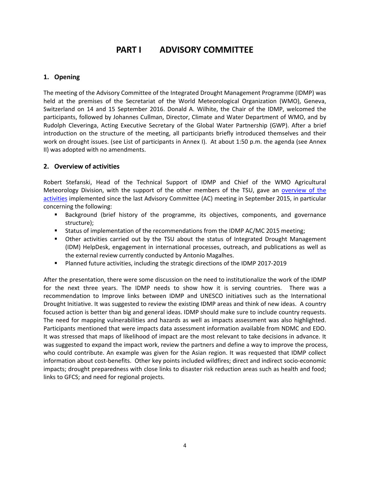## **PART I ADVISORY COMMITTEE**

## **1. Opening**

The meeting of the Advisory Committee of the Integrated Drought Management Programme (IDMP) was held at the premises of the Secretariat of the World Meteorological Organization (WMO), Geneva, Switzerland on 14 and 15 September 2016. Donald A. Wilhite, the Chair of the IDMP, welcomed the participants, followed by Johannes Cullman, Director, Climate and Water Department of WMO, and by Rudolph Cleveringa, Acting Executive Secretary of the Global Water Partnership (GWP). After a brief introduction on the structure of the meeting, all participants briefly introduced themselves and their work on drought issues. (see List of participants in Annex I). At about 1:50 p.m. the agenda (see Annex II) was adopted with no amendments.

## **2. Overview of activities**

Robert Stefanski, Head of the Technical Support of IDMP and Chief of the WMO Agricultural Meteorology Division, with the support of the other members of the TSU, gave an overview of the activities implemented since the last Advisory Committee (AC) meeting in September 2015, in particular concerning the following:

- **Background (brief history of the programme, its objectives, components, and governance** structure);
- Status of implementation of the recommendations from the IDMP AC/MC 2015 meeting;
- Other activities carried out by the TSU about the status of Integrated Drought Management (IDM) HelpDesk, engagement in international processes, outreach, and publications as well as the external review currently conducted by Antonio Magalhes.
- Planned future activities, including the strategic directions of the IDMP 2017-2019

After the presentation, there were some discussion on the need to institutionalize the work of the IDMP for the next three years. The IDMP needs to show how it is serving countries. There was a recommendation to Improve links between IDMP and UNESCO initiatives such as the International Drought Initiative. It was suggested to review the existing IDMP areas and think of new ideas. A country focused action is better than big and general ideas. IDMP should make sure to include country requests. The need for mapping vulnerabilities and hazards as well as impacts assessment was also highlighted. Participants mentioned that were impacts data assessment information available from NDMC and EDO. It was stressed that maps of likelihood of impact are the most relevant to take decisions in advance. It was suggested to expand the impact work, review the partners and define a way to improve the process, who could contribute. An example was given for the Asian region. It was requested that IDMP collect information about cost-benefits. Other key points included wildfires; direct and indirect socio-economic impacts; drought preparedness with close links to disaster risk reduction areas such as health and food; links to GFCS; and need for regional projects.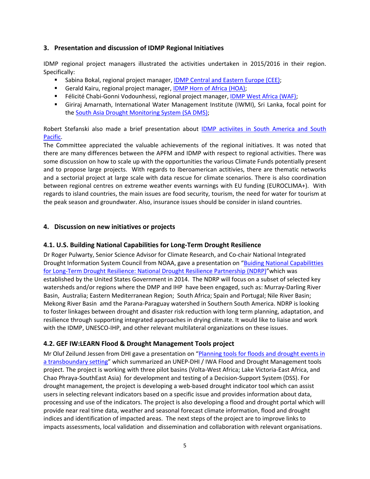## **3. Presentation and discussion of IDMP Regional Initiatives**

IDMP regional project managers illustrated the activities undertaken in 2015/2016 in their region. Specifically:

- **Sabina Bokal, regional project manager, IDMP Central and Eastern Europe (CEE);**
- Gerald Kairu, regional project manager, IDMP Horn of Africa (HOA);
- Félicité Chabi-Gonni Vodounhessi, regional project manager, IDMP West Africa (WAF);
- Giriraj Amarnath, International Water Management Institute (IWMI), Sri Lanka, focal point for the South Asia Drought Monitoring System (SA DMS);

Robert Stefanski also made a brief presentation about **IDMP** activiites in South America and South Pacific.

The Committee appreciated the valuable achievements of the regional initiatives. It was noted that there are many differences between the APFM and IDMP with respect to regional activities. There was some discussion on how to scale up with the opportunities the various Climate Funds potentially present and to propose large projects. With regards to Iberoamerican actitivies, there are thematic networks and a sectorial project at large scale with data rescue for climate scenarios. There is also coordination between regional centres on extreme weather events warnings with EU funding (EUROCLIMA+). With regards to island countries, the main issues are food security, tourism, the need for water for tourism at the peak season and groundwater. Also, insurance issues should be consider in island countries.

### **4. Discussion on new initiatives or projects**

## **4.1. U.S. Building National Capabilities for Long‐Term Drought Resilience**

Dr Roger Pulwarty, Senior Science Advisor for Climate Research, and Co‐chair National Integrated Drought Information System Council from NOAA, gave a presentation on "Buiding National Capabilitties for Long‐Term Drought Resilience: National Drought Resilience Partnership (NDRP)"which was established by the United States Government in 2014. The NDRP will focus on a subset of selected key watersheds and/or regions where the DMP and IHP have been engaged, such as: Murray-Darling River Basin, Australia; Eastern Mediterranean Region; South Africa; Spain and Portugal; Nile River Basin; Mekong River Basin amd the Parana‐Paraguay watershed in Southern South America. NDRP is looking to foster linkages between drought and disaster risk reduction with long term planning, adaptation, and resilience through supporting integrated approaches in drying climate. It would like to liaise and work with the IDMP, UNESCO‐IHP, and other relevant multilateral organizations on these issues.

## **4.2. GEF IW:LEARN Flood & Drought Management Tools project**

Mr Oluf Zeilund Jessen from DHI gave a presentation on "Planning tools for floods and drought events in a transboundary setting" which summarized an UNEP‐DHI / IWA Flood and Drought Management tools project. The project is working with three pilot basins (Volta‐West Africa; Lake Victoria‐East Africa, and Chao Phraya‐SouthEast Asia) for development and testing of a Decision‐Support System (DSS). For drought management, the project is developing a web‐based drought indicator tool which can assist users in selecting relevant indicators based on a specific issue and provides information about data, processing and use of the indicators. The project is also developing a flood and drought portal which will provide near real time data, weather and seasonal forecast climate information, flood and drought indices and identification of impacted areas. The next steps of the project are to improve links to impacts assessments, local validation and dissemination and collaboration with relevant organisations.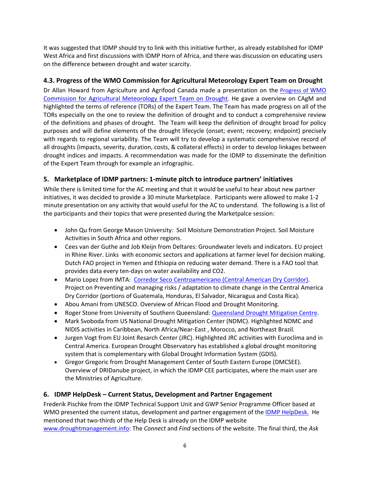It was suggested that IDMP should try to link with this initiative further, as already established for IDMP West Africa and first discussions with IDMP Horn of Africa, and there was discussion on educating users on the difference between drought and water scarcity.

## **4.3. Progress of the WMO Commission for Agricultural Meteorology Expert Team on Drought**

Dr Allan Howard from Agriculture and Agrifood Canada made a presentation on the Progress of WMO Commission for Agricultural Meteorology Expert Team on Drought. He gave a overview on CAgM and highlighted the terms of reference (TORs) of the Expert Team. The Team has made progress on all of the TORs especially on the one to review the definition of drought and to conduct a comprehensive review of the definitions and phases of drought. The Team will keep the definition of drought broad for policy purposes and will define elements of the drought lifecycle (onset; event; recovery; endpoint) precisely with regards to regional variability. The Team will try to develop a systematic comprehensive record of all droughts (impacts, severity, duration, costs, & collateral effects) in order to develop linkages between drought indices and impacts. A recommendation was made for the IDMP to disseminate the definition of the Expert Team through for example an infographic.

## **5. Marketplace of IDMP partners: 1‐minute pitch to introduce partners' initiatives**

While there is limited time for the AC meeting and that it would be useful to hear about new partner initiatives, it was decided to provide a 30 minute Marketplace. Participants were allowed to make 1‐2 minute presentation on any activity that would useful for the AC to understand. The following is a list of the participants and their topics that were presented during the Marketpalce session:

- John Qu from George Mason University: Soil Moisture Demonstration Project. Soil Moisture Activities in South Africa and other regions.
- Cees van der Guthe and Job Kleijn from Deltares: Groundwater levels and indicators. EU project in Rhine River. Links with economic sectors and applications at farmer level for decision making. Dutch FAO project in Yemen and Ethiopia on reducing water demand. There is a FAO tool that provides data every ten‐days on water availability and CO2.
- Mario Lopez from IMTA: Corredor Seco Centroamericano (Central American Dry Corridor). Project on Preventing and managing risks / adaptation to climate change in the Central America Dry Corridor (portions of Guatemala, Honduras, El Salvador, Nicaragua and Costa Rica).
- Abou Amani from UNESCO. Overview of African Flood and Drought Monitoring.
- Roger Stone from University of Southern Queensland: Queensland Drought Mitigation Centre.
- Mark Svoboda from US National Drought Mitigation Center (NDMC). Highlighted NDMC and NIDIS activities in Caribbean, North Africa/Near‐East , Morocco, and Northeast Brazil.
- Jurgen Vogt from EU Joint Resarch Center (JRC). Highlighted JRC activities with Euroclima and in Central America. European Drought Observatory has established a global drought monitoring system that is complementary with Global Drought Information System (GDIS).
- Gregor Gregoric from Drought Management Center of South Eastern Europe (DMCSEE). Overview of DRIDanube project, in which the IDMP CEE participates, where the main user are the Ministries of Agriculture.

## **6. IDMP HelpDesk – Current Status, Development and Partner Engagement**

Frederik Pischke from the IDMP Technical Support Unit and GWP Senior Programme Officer based at WMO presented the current status, development and partner engagement of the IDMP HelpDesk. He mentioned that two-thirds of the Help Desk is already on the IDMP website

www.droughtmanagement.info: The *Connect* and *Find* sections of the website. The final third, the *Ask*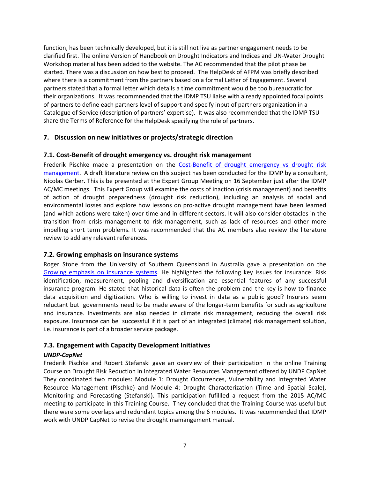function, has been technically developed, but it is still not live as partner engagement needs to be clarified first. The online Version of Handbook on Drought Indicators and Indices and UN‐Water Drought Workshop material has been added to the website. The AC recommended that the pilot phase be started. There was a discussion on how best to proceed. The HelpDesk of AFPM was briefly described where there is a commitment from the partners based on a formal Letter of Engagement. Several partners stated that a formal letter which details a time commitment would be too bureaucratic for their organizations. It was recommnended that the IDMP TSU liaise with already appointed focal points of partners to define each partners level of support and specify input of partners organization in a Catalogue of Service (description of partners' expertise). It was also recommended that the IDMP TSU share the Terms of Reference for the HelpDesk specifying the role of partners.

### **7. Discussion on new initiatives or projects/strategic direction**

### **7.1. Cost‐Benefit of drought emergency vs. drought risk management**

Frederik Pischke made a presentation on the Cost-Benefit of drought emergency vs drought risk management. A draft literature review on this subject has been conducted for the IDMP by a consultant, Nicolas Gerber. This is be presented at the Expert Group Meeting on 16 September just after the IDMP AC/MC meetings. This Expert Group will examine the costs of inaction (crisis management) and benefits of action of drought preparedness (drought risk reduction), including an analysis of social and environmental losses and explore how lessons on pro‐active drought management have been learned (and which actions were taken) over time and in different sectors. It will also consider obstacles in the transition from crisis management to risk management, such as lack of resources and other more impelling short term problems. It was recommended that the AC members also review the literature review to add any relevant references.

#### **7.2. Growing emphasis on insurance systems**

Roger Stone from the University of Southern Queensland in Australia gave a presentation on the Growing emphasis on insurance systems. He highlighted the following key issues for insurance: Risk identification, measurement, pooling and diversification are essential features of any successful insurance program. He stated that historical data is often the problem and the key is how to finance data acquisition and digitization. Who is willing to invest in data as a public good? Insurers seem reluctant but governments need to be made aware of the longer-term benefits for such as agriculture and insurance. Investments are also needed in climate risk management, reducing the overall risk exposure. Insurance can be successful if it is part of an integrated (climate) risk management solution, i.e. insurance is part of a broader service package.

#### **7.3. Engagement with Capacity Development Initiatives**

#### *UNDP‐CapNet*

Frederik Pischke and Robert Stefanski gave an overview of their participation in the online Training Course on Drought Risk Reduction in Integrated Water Resources Management offered by UNDP CapNet. They coordinated two modules: Module 1: Drought Occurrences, Vulnerability and Integrated Water Resource Management (Pischke) and Module 4: Drought Characterization (Time and Spatial Scale), Monitoring and Forecasting (Stefanski). This participation fufillled a request from the 2015 AC/MC meeting to participate in this Training Course. They concluded that the Training Course was useful but there were some overlaps and redundant topics among the 6 modules. It was recommended that IDMP work with UNDP CapNet to revise the drought mamangement manual.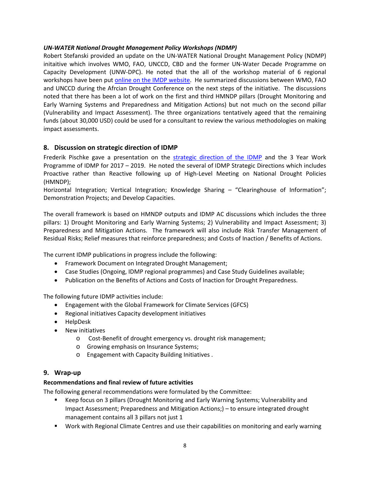#### *UN‐WATER National Drought Management Policy Workshops (NDMP)*

Robert Stefanski provided an update on the UN‐WATER National Drought Management Policy (NDMP) initaitive which involves WMO, FAO, UNCCD, CBD and the former UN‐Water Decade Programme on Capacity Development (UNW‐DPC). He noted that the all of the workshop material of 6 regional workshops have been put online on the IMDP website. He summarized discussions between WMO, FAO and UNCCD during the Afrcian Drought Conference on the next steps of the initiative. The discussions noted that there has been a lot of work on the first and third HMNDP pillars (Drought Monitoring and Early Warning Systems and Preparedness and Mitigation Actions) but not much on the second pillar (Vulnerability and Impact Assessment). The three organizations tentatively ageed that the remaining funds (about 30,000 USD) could be used for a consultant to review the various methodologies on making impact assessments.

## **8. Discussion on strategic direction of IDMP**

Frederik Pischke gave a presentation on the strategic direction of the IDMP and the 3 Year Work Programme of IDMP for 2017 – 2019. He noted the several of IDMP Strategic Directions which includes Proactive rather than Reactive following up of High‐Level Meeting on National Drought Policies (HMNDP);

Horizontal Integration; Vertical Integration; Knowledge Sharing – "Clearinghouse of Information"; Demonstration Projects; and Develop Capacities.

The overall framework is based on HMNDP outputs and IDMP AC discussions which includes the three pillars: 1) Drought Monitoring and Early Warning Systems; 2) Vulnerability and Impact Assessment; 3) Preparedness and Mitigation Actions. The framework will also include Risk Transfer Management of Residual Risks; Relief measures that reinforce preparedness; and Costs of Inaction / Benefits of Actions.

The current IDMP publications in progress include the following:

- Framework Document on Integrated Drought Management;
- Case Studies (Ongoing, IDMP regional programmes) and Case Study Guidelines available;
- Publication on the Benefits of Actions and Costs of Inaction for Drought Preparedness.

The following future IDMP activities include:

- Engagement with the Global Framework for Climate Services (GFCS)
- Regional initiatives Capacity development initiatives
- HelpDesk
- New initiatives
	- o Cost‐Benefit of drought emergency vs. drought risk management;
	- o Growing emphasis on Insurance Systems;
	- o Engagement with Capacity Building Initiatives .

#### **9. Wrap‐up**

#### **Recommendations and final review of future activities**

The following general recommendations were formulated by the Committee:

- Keep focus on 3 pillars (Drought Monitoring and Early Warning Systems; Vulnerability and Impact Assessment; Preparedness and Mitigation Actions;) – to ensure integrated drought management contains all 3 pillars not just 1
- Work with Regional Climate Centres and use their capabilities on monitoring and early warning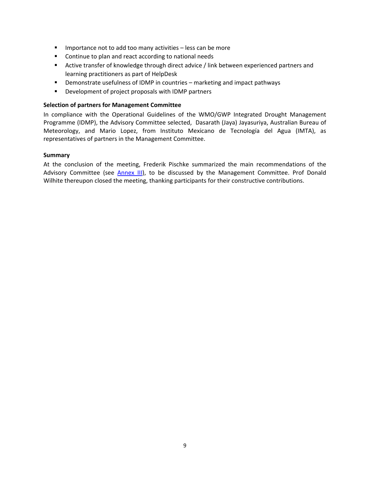- $\blacksquare$  Importance not to add too many activities less can be more
- **Continue to plan and react according to national needs**
- **EXECT** Active transfer of knowledge through direct advice / link between experienced partners and learning practitioners as part of HelpDesk
- **•** Demonstrate usefulness of IDMP in countries marketing and impact pathways
- **Development of project proposals with IDMP partners**

#### **Selection of partners for Management Committee**

In compliance with the Operational Guidelines of the WMO/GWP Integrated Drought Management Programme (IDMP), the Advisory Committee selected, Dasarath (Jaya) Jayasuriya, Australian Bureau of Meteorology, and Mario Lopez, from Instituto Mexicano de Tecnología del Agua (IMTA), as representatives of partners in the Management Committee.

#### **Summary**

At the conclusion of the meeting, Frederik Pischke summarized the main recommendations of the Advisory Committee (see **Annex III)**, to be discussed by the Management Committee. Prof Donald Wilhite thereupon closed the meeting, thanking participants for their constructive contributions.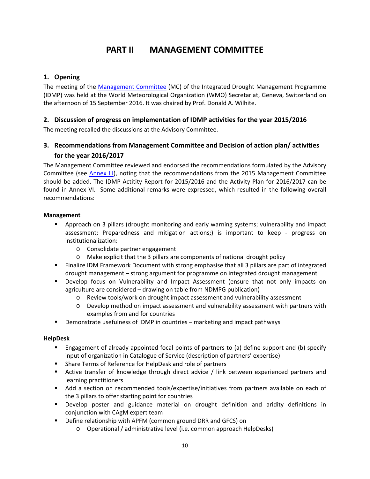## **PART II MANAGEMENT COMMITTEE**

## **1. Opening**

The meeting of the Management Committee (MC) of the Integrated Drought Management Programme (IDMP) was held at the World Meteorological Organization (WMO) Secretariat, Geneva, Switzerland on the afternoon of 15 September 2016. It was chaired by Prof. Donald A. Wilhite.

## **2. Discussion of progress on implementation of IDMP activities for the year 2015/2016**

The meeting recalled the discussions at the Advisory Committee.

## **3. Recommendations from Management Committee and Decision of action plan/ activities for the year 2016/2017**

The Management Committee reviewed and endorsed the recommendations formulated by the Advisory Committee (see Annex III), noting that the recommendations from the 2015 Management Committee should be added. The IDMP Actitity Report for 2015/2016 and the Activity Plan for 2016/2017 can be found in Annex VI. Some additional remarks were expressed, which resulted in the following overall recommendations:

## **Management**

- **Approach on 3 pillars (drought monitoring and early warning systems; vulnerability and impact** assessment; Preparedness and mitigation actions;) is important to keep ‐ progress on institutionalization:
	- o Consolidate partner engagement
	- o Make explicit that the 3 pillars are components of national drought policy
- Finalize IDM Framework Document with strong emphasise that all 3 pillars are part of integrated drought management – strong argument for programme on integrated drought management
- **Develop focus on Vulnerability and Impact Assessment (ensure that not only impacts on** agriculture are considered – drawing on table from NDMPG publication)
	- o Review tools/work on drought impact assessment and vulnerability assessment
	- o Develop method on impact assessment and vulnerability assessment with partners with examples from and for countries
- Demonstrate usefulness of IDMP in countries marketing and impact pathways

## **HelpDesk**

- Engagement of already appointed focal points of partners to (a) define support and (b) specify input of organization in Catalogue of Service (description of partners' expertise)
- **Share Terms of Reference for HelpDesk and role of partners**
- Active transfer of knowledge through direct advice / link between experienced partners and learning practitioners
- Add a section on recommended tools/expertise/initiatives from partners available on each of the 3 pillars to offer starting point for countries
- Develop poster and guidance material on drought definition and aridity definitions in conjunction with CAgM expert team
- **•** Define relationship with APFM (common ground DRR and GFCS) on
	- o Operational / administrative level (i.e. common approach HelpDesks)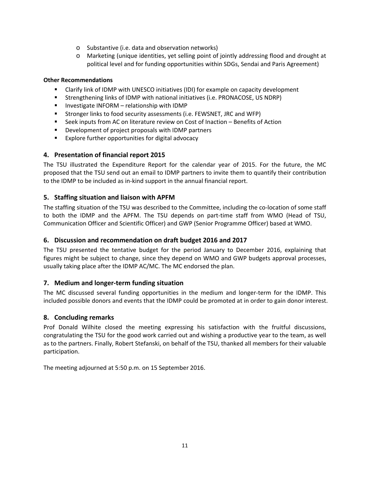- o Substantive (i.e. data and observation networks)
- o Marketing (unique identities, yet selling point of jointly addressing flood and drought at political level and for funding opportunities within SDGs, Sendai and Paris Agreement)

### **Other Recommendations**

- Clarify link of IDMP with UNESCO initiatives (IDI) for example on capacity development
- Strengthening links of IDMP with national initiatives (i.e. PRONACOSE, US NDRP)
- Investigate INFORM relationship with IDMP
- **Stronger links to food security assessments (i.e. FEWSNET, JRC and WFP)**
- Seek inputs from AC on literature review on Cost of Inaction Benefits of Action
- Development of project proposals with IDMP partners
- **Explore further opportunities for digital advocacy**

### **4. Presentation of financial report 2015**

The TSU illustrated the Expenditure Report for the calendar year of 2015. For the future, the MC proposed that the TSU send out an email to IDMP partners to invite them to quantify their contribution to the IDMP to be included as in‐kind support in the annual financial report.

### **5. Staffing situation and liaison with APFM**

The staffing situation of the TSU was described to the Committee, including the co-location of some staff to both the IDMP and the APFM. The TSU depends on part-time staff from WMO (Head of TSU, Communication Officer and Scientific Officer) and GWP (Senior Programme Officer) based at WMO.

#### **6. Discussion and recommendation on draft budget 2016 and 2017**

The TSU presented the tentative budget for the period January to December 2016, explaining that figures might be subject to change, since they depend on WMO and GWP budgets approval processes, usually taking place after the IDMP AC/MC. The MC endorsed the plan.

## **7. Medium and longer‐term funding situation**

The MC discussed several funding opportunities in the medium and longer-term for the IDMP. This included possible donors and events that the IDMP could be promoted at in order to gain donor interest.

#### **8. Concluding remarks**

Prof Donald Wilhite closed the meeting expressing his satisfaction with the fruitful discussions, congratulating the TSU for the good work carried out and wishing a productive year to the team, as well as to the partners. Finally, Robert Stefanski, on behalf of the TSU, thanked all members for their valuable participation.

The meeting adjourned at 5:50 p.m. on 15 September 2016.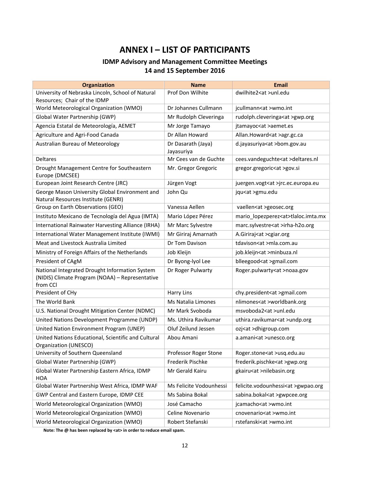## **ANNEX I – LIST OF PARTICIPANTS**

## **IDMP Advisory and Management Committee Meetings 14 and 15 September 2016**

| <b>Organization</b>                                                                                           | <b>Name</b>                      | <b>Email</b>                             |
|---------------------------------------------------------------------------------------------------------------|----------------------------------|------------------------------------------|
| University of Nebraska Lincoln, School of Natural<br>Resources; Chair of the IDMP                             | Prof Don Wilhite                 | dwilhite2 <at>unl.edu</at>               |
| World Meteorological Organization (WMO)                                                                       | Dr Johannes Cullmann             | jcullmann <at>wmo.int</at>               |
| Global Water Partnership (GWP)                                                                                | Mr Rudolph Cleveringa            | rudolph.cleveringa <at>gwp.org</at>      |
| Agencia Estatal de Meteorología, AEMET                                                                        | Mr Jorge Tamayo                  | jtamayoc <at>aemet.es</at>               |
| Agriculture and Agri-Food Canada                                                                              | Dr Allan Howard                  | Allan.Howard <at>agr.gc.ca</at>          |
| Australian Bureau of Meteorology                                                                              | Dr Dasarath (Jaya)<br>Jayasuriya | d.jayasuriya <at>bom.gov.au</at>         |
| <b>Deltares</b>                                                                                               | Mr Cees van de Guchte            | cees.vandeguchte <at>deltares.nl</at>    |
| Drought Management Centre for Southeastern<br>Europe (DMCSEE)                                                 | Mr. Gregor Gregoric              | gregor.gregoric <at>gov.si</at>          |
| European Joint Research Centre (JRC)                                                                          | Jürgen Vogt                      | juergen.vogt <at>jrc.ec.europa.eu</at>   |
| George Mason University Global Environment and<br>Natural Resources Institute (GENRI)                         | John Qu                          | jqu <at>gmu.edu</at>                     |
| Group on Earth Observations (GEO)                                                                             | Vanessa Aellen                   | vaellen <at>geosec.org</at>              |
| Instituto Mexicano de Tecnología del Agua (IMTA)                                                              | Mario López Pérez                | mario_lopezperez <at>tlaloc.imta.mx</at> |
| International Rainwater Harvesting Alliance (IRHA)                                                            | Mr Marc Sylvestre                | marc.sylvestre <at>irha-h2o.org</at>     |
| International Water Management Institute (IWMI)                                                               | Mr Giriraj Amarnath              | A.Giriraj <at>cgiar.org</at>             |
| Meat and Livestock Australia Limited                                                                          | Dr Tom Davison                   | tdavison <at>mla.com.au</at>             |
| Ministry of Foreign Affairs of the Netherlands                                                                | Job Kleijn                       | job.kleijn <at>minbuza.nl</at>           |
| President of CAgM                                                                                             | Dr Byong-lyol Lee                | blleegood <at>gmail.com</at>             |
| National Integrated Drought Information System<br>(NIDIS) Climate Program (NOAA) - Representative<br>from CCI | Dr Roger Pulwarty                | Roger.pulwarty <at>noaa.gov</at>         |
| President of CHy                                                                                              | <b>Harry Lins</b>                | chy.president <at>gmail.com</at>         |
| The World Bank                                                                                                | Ms Natalia Limones               | nlimones <at>worldbank.org</at>          |
| U.S. National Drought Mitigation Center (NDMC)                                                                | Mr Mark Svoboda                  | msvoboda2 <at>unl.edu</at>               |
| United Nations Development Programme (UNDP)                                                                   | Ms. Uthira Ravikumar             | uthira.ravikumar <at>undp.org</at>       |
| United Nation Environment Program (UNEP)                                                                      | Oluf Zeilund Jessen              | ozj <at>dhigroup.com</at>                |
| United Nations Educational, Scientific and Cultural<br>Organization (UNESCO)                                  | Abou Amani                       | a.amani <at>unesco.org</at>              |
| University of Southern Queensland                                                                             | Professor Roger Stone            | Roger.stone <at>usq.edu.au</at>          |
| Global Water Partnership (GWP)                                                                                | Frederik Pischke                 | frederik.pischke <at>gwp.org</at>        |
| Global Water Partnership Eastern Africa, IDMP<br>HOA                                                          | Mr Gerald Kairu                  | gkairu <at>nilebasin.org</at>            |
| Global Water Partnership West Africa, IDMP WAF                                                                | Ms Felicite Vodounhessi          | felicite.vodounhessi <at>gwpao.org</at>  |
| GWP Central and Eastern Europe, IDMP CEE                                                                      | Ms Sabina Bokal                  | sabina.bokal <at>gwpcee.org</at>         |
| World Meteorological Organization (WMO)                                                                       | José Camacho                     | jcamacho <at>wmo.int</at>                |
| World Meteorological Organization (WMO)                                                                       | Celine Novenario                 | cnovenario <at>wmo.int</at>              |
| World Meteorological Organization (WMO)                                                                       | Robert Stefanski                 | rstefanski <at>wmo.int</at>              |

**Note: The @ has been replaced by <at> in order to reduce email spam.**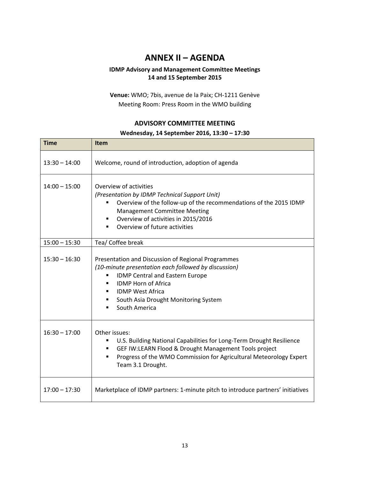## **ANNEX II – AGENDA**

### **IDMP Advisory and Management Committee Meetings 14 and 15 September 2015**

**Venue:** WMO; 7bis, avenue de la Paix; CH‐1211 Genève Meeting Room: Press Room in the WMO building

## **ADVISORY COMMITTEE MEETING Wednesday, 14 September 2016, 13:30 – 17:30**

| <b>Time</b>     | <b>Item</b>                                                                                                                                                                                                                                                                      |  |  |  |
|-----------------|----------------------------------------------------------------------------------------------------------------------------------------------------------------------------------------------------------------------------------------------------------------------------------|--|--|--|
| $13:30 - 14:00$ | Welcome, round of introduction, adoption of agenda                                                                                                                                                                                                                               |  |  |  |
| $14:00 - 15:00$ | Overview of activities<br>(Presentation by IDMP Technical Support Unit)<br>Overview of the follow-up of the recommendations of the 2015 IDMP<br>٠<br><b>Management Committee Meeting</b><br>Overview of activities in 2015/2016<br>Overview of future activities<br>٠            |  |  |  |
| $15:00 - 15:30$ | Tea/ Coffee break                                                                                                                                                                                                                                                                |  |  |  |
| $15:30 - 16:30$ | Presentation and Discussion of Regional Programmes<br>(10-minute presentation each followed by discussion)<br><b>IDMP Central and Eastern Europe</b><br>٠<br><b>IDMP Horn of Africa</b><br><b>IDMP West Africa</b><br>South Asia Drought Monitoring System<br>South America<br>٠ |  |  |  |
| $16:30 - 17:00$ | Other issues:<br>U.S. Building National Capabilities for Long-Term Drought Resilience<br>٠<br>GEF IW:LEARN Flood & Drought Management Tools project<br>٠<br>Progress of the WMO Commission for Agricultural Meteorology Expert<br>٠<br>Team 3.1 Drought.                         |  |  |  |
| $17:00 - 17:30$ | Marketplace of IDMP partners: 1-minute pitch to introduce partners' initiatives                                                                                                                                                                                                  |  |  |  |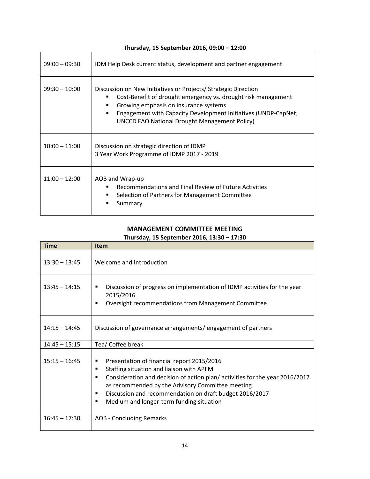| $09:00 - 09:30$ | IDM Help Desk current status, development and partner engagement                                                                                                                                                                                                                                             |
|-----------------|--------------------------------------------------------------------------------------------------------------------------------------------------------------------------------------------------------------------------------------------------------------------------------------------------------------|
| $09:30 - 10:00$ | Discussion on New Initiatives or Projects/ Strategic Direction<br>Cost-Benefit of drought emergency vs. drought risk management<br>Growing emphasis on insurance systems<br>٠<br>Engagement with Capacity Development Initiatives (UNDP-CapNet;<br>٠<br><b>UNCCD FAO National Drought Management Policy)</b> |
| $10:00 - 11:00$ | Discussion on strategic direction of IDMP<br>3 Year Work Programme of IDMP 2017 - 2019                                                                                                                                                                                                                       |
| $11:00 - 12:00$ | AOB and Wrap-up<br>Recommendations and Final Review of Future Activities<br>٠<br>Selection of Partners for Management Committee<br>٠<br>Summary                                                                                                                                                              |

**Thursday, 15 September 2016, 09:00 – 12:00**

#### **MANAGEMENT COMMITTEE MEETING Thursday, 15 September 2016, 13:30 – 17:30**

| <b>Time</b>     | <b>Item</b>                                                                                                                                                                                                                                                                                                                                               |
|-----------------|-----------------------------------------------------------------------------------------------------------------------------------------------------------------------------------------------------------------------------------------------------------------------------------------------------------------------------------------------------------|
| $13:30 - 13:45$ | Welcome and Introduction                                                                                                                                                                                                                                                                                                                                  |
| $13:45 - 14:15$ | Discussion of progress on implementation of IDMP activities for the year<br>٠<br>2015/2016<br>Oversight recommendations from Management Committee<br>٠                                                                                                                                                                                                    |
| $14:15 - 14:45$ | Discussion of governance arrangements/engagement of partners                                                                                                                                                                                                                                                                                              |
| $14:45 - 15:15$ | Tea/ Coffee break                                                                                                                                                                                                                                                                                                                                         |
| $15:15 - 16:45$ | Presentation of financial report 2015/2016<br>٠<br>Staffing situation and liaison with APFM<br>٠<br>Consideration and decision of action plan/activities for the year 2016/2017<br>٠<br>as recommended by the Advisory Committee meeting<br>Discussion and recommendation on draft budget 2016/2017<br>٠<br>Medium and longer-term funding situation<br>٠ |
| $16:45 - 17:30$ | <b>AOB - Concluding Remarks</b>                                                                                                                                                                                                                                                                                                                           |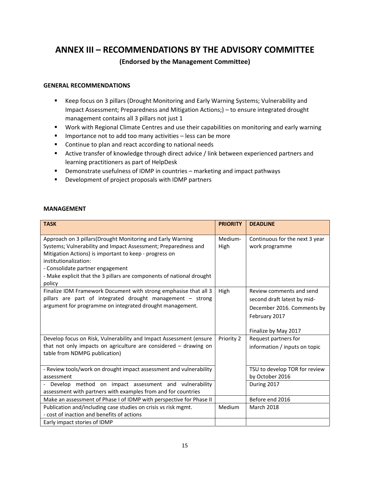## **ANNEX III – RECOMMENDATIONS BY THE ADVISORY COMMITTEE**

## **(Endorsed by the Management Committee)**

#### **GENERAL RECOMMENDATIONS**

- Keep focus on 3 pillars (Drought Monitoring and Early Warning Systems; Vulnerability and Impact Assessment; Preparedness and Mitigation Actions;) – to ensure integrated drought management contains all 3 pillars not just 1
- **Work with Regional Climate Centres and use their capabilities on monitoring and early warning**
- **IMPORTANCE NOTE 1** Importance not to add too many activities less can be more
- **EXECONTERGIVE CONTINUE to plan and react according to national needs**
- **EXTER Active transfer of knowledge through direct advice / link between experienced partners and** learning practitioners as part of HelpDesk
- **•** Demonstrate usefulness of IDMP in countries marketing and impact pathways
- **•** Development of project proposals with IDMP partners

#### **MANAGEMENT**

| <b>TASK</b>                                                                                                                                                                                                                                                                                                                             | <b>PRIORITY</b> | <b>DEADLINE</b>                                                                                                                |
|-----------------------------------------------------------------------------------------------------------------------------------------------------------------------------------------------------------------------------------------------------------------------------------------------------------------------------------------|-----------------|--------------------------------------------------------------------------------------------------------------------------------|
| Approach on 3 pillars (Drought Monitoring and Early Warning<br>Systems; Vulnerability and Impact Assessment; Preparedness and<br>Mitigation Actions) is important to keep - progress on<br>institutionalization:<br>- Consolidate partner engagement<br>- Make explicit that the 3 pillars are components of national drought<br>policy | Medium-<br>High | Continuous for the next 3 year<br>work programme                                                                               |
| Finalize IDM Framework Document with strong emphasise that all 3<br>pillars are part of integrated drought management - strong<br>argument for programme on integrated drought management.                                                                                                                                              | High            | Review comments and send<br>second draft latest by mid-<br>December 2016. Comments by<br>February 2017<br>Finalize by May 2017 |
| Develop focus on Risk, Vulnerability and Impact Assessment (ensure<br>that not only impacts on agriculture are considered $-$ drawing on<br>table from NDMPG publication)                                                                                                                                                               | Priority 2      | Request partners for<br>information / inputs on topic                                                                          |
| - Review tools/work on drought impact assessment and vulnerability<br>assessment                                                                                                                                                                                                                                                        |                 | TSU to develop TOR for review<br>by October 2016                                                                               |
| Develop method on impact assessment and vulnerability<br>assessment with partners with examples from and for countries                                                                                                                                                                                                                  |                 | During 2017                                                                                                                    |
| Make an assessment of Phase I of IDMP with perspective for Phase II                                                                                                                                                                                                                                                                     |                 | Before end 2016                                                                                                                |
| Publication and/including case studies on crisis vs risk mgmt.<br>- cost of inaction and benefits of actions<br>Early impact stories of IDMP                                                                                                                                                                                            | Medium          | <b>March 2018</b>                                                                                                              |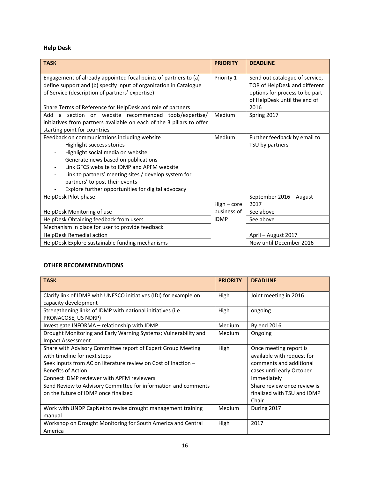## **Help Desk**

| <b>TASK</b>                                                                                                                                                                                                                                                                                                                                                                     | <b>PRIORITY</b> | <b>DEADLINE</b>                                                                                                                           |
|---------------------------------------------------------------------------------------------------------------------------------------------------------------------------------------------------------------------------------------------------------------------------------------------------------------------------------------------------------------------------------|-----------------|-------------------------------------------------------------------------------------------------------------------------------------------|
| Engagement of already appointed focal points of partners to (a)<br>define support and (b) specify input of organization in Catalogue<br>of Service (description of partners' expertise)<br>Share Terms of Reference for HelpDesk and role of partners                                                                                                                           | Priority 1      | Send out catalogue of service,<br>TOR of HelpDesk and different<br>options for process to be part<br>of HelpDesk until the end of<br>2016 |
| Add a section on website recommended tools/expertise/<br>initiatives from partners available on each of the 3 pillars to offer<br>starting point for countries                                                                                                                                                                                                                  | Medium          | Spring 2017                                                                                                                               |
| Feedback on communications including website<br>Highlight success stories<br>Highlight social media on website<br>Generate news based on publications<br>Link GFCS website to IDMP and APFM website<br>Link to partners' meeting sites / develop system for<br>$\overline{\phantom{a}}$<br>partners' to post their events<br>Explore further opportunities for digital advocacy | Medium          | Further feedback by email to<br>TSU by partners                                                                                           |
| HelpDesk Pilot phase                                                                                                                                                                                                                                                                                                                                                            | $High-core$     | September 2016 - August<br>2017                                                                                                           |
| HelpDesk Monitoring of use                                                                                                                                                                                                                                                                                                                                                      | business of     | See above                                                                                                                                 |
| HelpDesk Obtaining feedback from users                                                                                                                                                                                                                                                                                                                                          | <b>IDMP</b>     | See above                                                                                                                                 |
| Mechanism in place for user to provide feedback                                                                                                                                                                                                                                                                                                                                 |                 |                                                                                                                                           |
| HelpDesk Remedial action                                                                                                                                                                                                                                                                                                                                                        |                 | April - August 2017                                                                                                                       |
| HelpDesk Explore sustainable funding mechanisms                                                                                                                                                                                                                                                                                                                                 |                 | Now until December 2016                                                                                                                   |

### **OTHER RECOMMENDATIONS**

| <b>TASK</b>                                                       | <b>PRIORITY</b> | <b>DEADLINE</b>             |
|-------------------------------------------------------------------|-----------------|-----------------------------|
| Clarify link of IDMP with UNESCO initiatives (IDI) for example on | High            | Joint meeting in 2016       |
| capacity development                                              |                 |                             |
| Strengthening links of IDMP with national initiatives (i.e.       | High            | ongoing                     |
| PRONACOSE, US NDRP)                                               |                 |                             |
| Investigate INFORMA - relationship with IDMP                      | Medium          | By end 2016                 |
| Drought Monitoring and Early Warning Systems; Vulnerability and   | <b>Medium</b>   | Ongoing                     |
| <b>Impact Assessment</b>                                          |                 |                             |
| Share with Advisory Committee report of Expert Group Meeting      | High            | Once meeting report is      |
| with timeline for next steps                                      |                 | available with request for  |
| Seek inputs from AC on literature review on Cost of Inaction -    |                 | comments and additional     |
| <b>Benefits of Action</b>                                         |                 | cases until early October   |
| Connect IDMP reviewer with APFM reviewers                         |                 | Immediately                 |
| Send Review to Advisory Committee for information and comments    |                 | Share review once review is |
| on the future of IDMP once finalized                              |                 | finalized with TSU and IDMP |
|                                                                   |                 | Chair                       |
| Work with UNDP CapNet to revise drought management training       | <b>Medium</b>   | During 2017                 |
| manual                                                            |                 |                             |
| Workshop on Drought Monitoring for South America and Central      | High            | 2017                        |
| America                                                           |                 |                             |